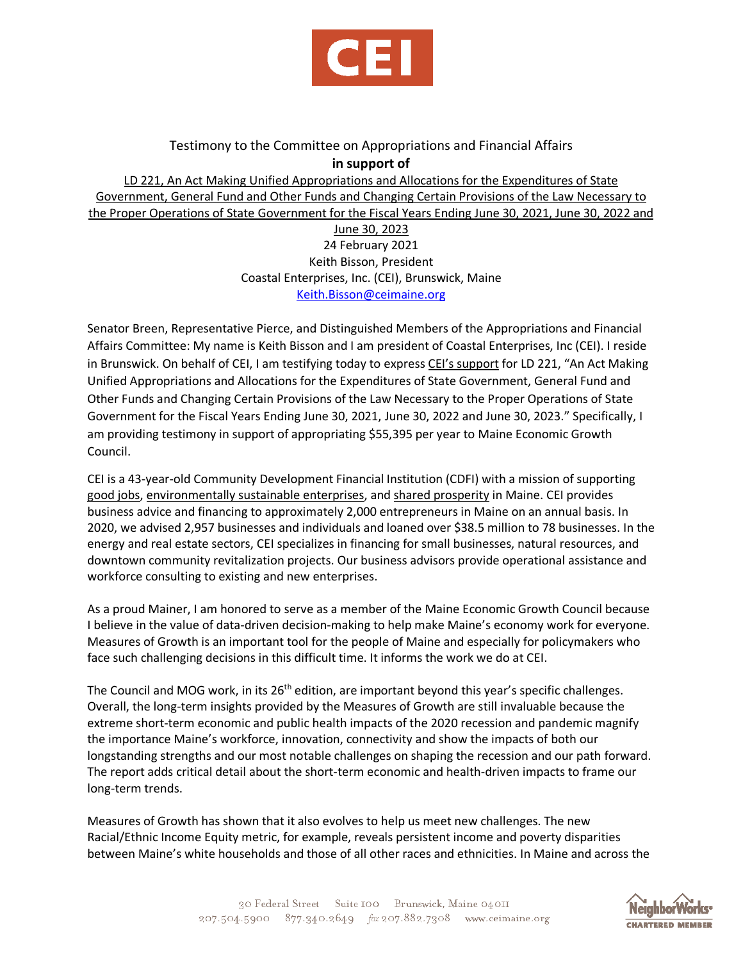

## Testimony to the Committee on Appropriations and Financial Affairs **in support of**

LD 221, An Act Making Unified Appropriations and Allocations for the Expenditures of State Government, General Fund and Other Funds and Changing Certain Provisions of the Law Necessary to the Proper Operations of State Government for the Fiscal Years Ending June 30, 2021, June 30, 2022 and June 30, 2023 24 February 2021 Keith Bisson, President Coastal Enterprises, Inc. (CEI), Brunswick, Maine [Keith.Bisson@ceimaine.org](mailto:Keith.Bisson@ceimaine.org)

Senator Breen, Representative Pierce, and Distinguished Members of the Appropriations and Financial Affairs Committee: My name is Keith Bisson and I am president of Coastal Enterprises, Inc (CEI). I reside in Brunswick. On behalf of CEI, I am testifying today to express CEI's support for LD 221, "An Act Making Unified Appropriations and Allocations for the Expenditures of State Government, General Fund and Other Funds and Changing Certain Provisions of the Law Necessary to the Proper Operations of State Government for the Fiscal Years Ending June 30, 2021, June 30, 2022 and June 30, 2023." Specifically, I am providing testimony in support of appropriating \$55,395 per year to Maine Economic Growth Council.

CEI is a 43-year-old Community Development Financial Institution (CDFI) with a mission of supporting good jobs, environmentally sustainable enterprises, and shared prosperity in Maine. CEI provides business advice and financing to approximately 2,000 entrepreneurs in Maine on an annual basis. In 2020, we advised 2,957 businesses and individuals and loaned over \$38.5 million to 78 businesses. In the energy and real estate sectors, CEI specializes in financing for small businesses, natural resources, and downtown community revitalization projects. Our business advisors provide operational assistance and workforce consulting to existing and new enterprises.

As a proud Mainer, I am honored to serve as a member of the Maine Economic Growth Council because I believe in the value of data-driven decision-making to help make Maine's economy work for everyone. Measures of Growth is an important tool for the people of Maine and especially for policymakers who face such challenging decisions in this difficult time. It informs the work we do at CEI.

The Council and MOG work, in its 26<sup>th</sup> edition, are important beyond this year's specific challenges. Overall, the long-term insights provided by the Measures of Growth are still invaluable because the extreme short-term economic and public health impacts of the 2020 recession and pandemic magnify the importance Maine's workforce, innovation, connectivity and show the impacts of both our longstanding strengths and our most notable challenges on shaping the recession and our path forward. The report adds critical detail about the short-term economic and health-driven impacts to frame our long-term trends.

Measures of Growth has shown that it also evolves to help us meet new challenges. The new Racial/Ethnic Income Equity metric, for example, reveals persistent income and poverty disparities between Maine's white households and those of all other races and ethnicities. In Maine and across the